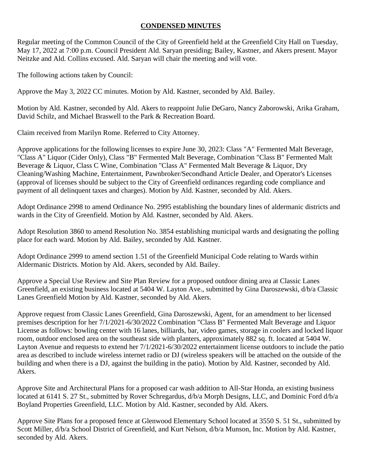## **CONDENSED MINUTES**

Regular meeting of the Common Council of the City of Greenfield held at the Greenfield City Hall on Tuesday, May 17, 2022 at 7:00 p.m. Council President Ald. Saryan presiding; Bailey, Kastner, and Akers present. Mayor Neitzke and Ald. Collins excused. Ald. Saryan will chair the meeting and will vote.

The following actions taken by Council:

Approve the May 3, 2022 CC minutes. Motion by Ald. Kastner, seconded by Ald. Bailey.

Motion by Ald. Kastner, seconded by Ald. Akers to reappoint Julie DeGaro, Nancy Zaborowski, Arika Graham, David Schilz, and Michael Braswell to the Park & Recreation Board.

Claim received from Marilyn Rome. Referred to City Attorney.

Approve applications for the following licenses to expire June 30, 2023: Class "A" Fermented Malt Beverage, "Class A" Liquor (Cider Only), Class "B" Fermented Malt Beverage, Combination "Class B" Fermented Malt Beverage & Liquor, Class C Wine, Combination "Class A" Fermented Malt Beverage & Liquor, Dry Cleaning/Washing Machine, Entertainment, Pawnbroker/Secondhand Article Dealer, and Operator's Licenses (approval of licenses should be subject to the City of Greenfield ordinances regarding code compliance and payment of all delinquent taxes and charges). Motion by Ald. Kastner, seconded by Ald. Akers.

Adopt Ordinance 2998 to amend Ordinance No. 2995 establishing the boundary lines of aldermanic districts and wards in the City of Greenfield. Motion by Ald. Kastner, seconded by Ald. Akers.

Adopt Resolution 3860 to amend Resolution No. 3854 establishing municipal wards and designating the polling place for each ward. Motion by Ald. Bailey, seconded by Ald. Kastner.

Adopt Ordinance 2999 to amend section 1.51 of the Greenfield Municipal Code relating to Wards within Aldermanic Districts. Motion by Ald. Akers, seconded by Ald. Bailey.

Approve a Special Use Review and Site Plan Review for a proposed outdoor dining area at Classic Lanes Greenfield, an existing business located at 5404 W. Layton Ave., submitted by Gina Daroszewski, d/b/a Classic Lanes Greenfield Motion by Ald. Kastner, seconded by Ald. Akers.

Approve request from Classic Lanes Greenfield, Gina Daroszewski, Agent, for an amendment to her licensed premises description for her 7/1/2021-6/30/2022 Combination "Class B" Fermented Malt Beverage and Liquor License as follows: bowling center with 16 lanes, billiards, bar, video games, storage in coolers and locked liquor room, outdoor enclosed area on the southeast side with planters, approximately 882 sq. ft. located at 5404 W. Layton Avenue and requests to extend her 7/1/2021-6/30/2022 entertainment license outdoors to include the patio area as described to include wireless internet radio or DJ (wireless speakers will be attached on the outside of the building and when there is a DJ, against the building in the patio). Motion by Ald. Kastner, seconded by Ald. Akers.

Approve Site and Architectural Plans for a proposed car wash addition to All-Star Honda, an existing business located at 6141 S. 27 St., submitted by Rover Schregardus,  $d/b/a$  Morph Designs, LLC, and Dominic Ford  $d/b/a$ Boyland Properties Greenfield, LLC. Motion by Ald. Kastner, seconded by Ald. Akers.

Approve Site Plans for a proposed fence at Glenwood Elementary School located at 3550 S. 51 St., submitted by Scott Miller, d/b/a School District of Greenfield, and Kurt Nelson, d/b/a Munson, Inc. Motion by Ald. Kastner, seconded by Ald. Akers.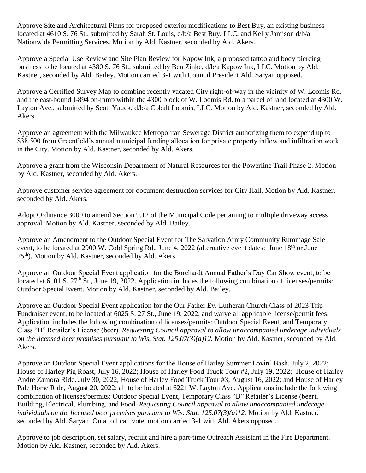Approve Site and Architectural Plans for proposed exterior modifications to Best Buy, an existing business located at 4610 S. 76 St., submitted by Sarah St. Louis, d/b/a Best Buy, LLC, and Kelly Jamison d/b/a Nationwide Permitting Services. Motion by Ald. Kastner, seconded by Ald. Akers.

Approve a Special Use Review and Site Plan Review for Kapow Ink, a proposed tattoo and body piercing business to be located at 4380 S. 76 St., submitted by Ben Zinke, d/b/a Kapow Ink, LLC. Motion by Ald. Kastner, seconded by Ald. Bailey. Motion carried 3-1 with Council President Ald. Saryan opposed.

Approve a Certified Survey Map to combine recently vacated City right-of-way in the vicinity of W. Loomis Rd. and the east-bound I-894 on-ramp within the 4300 block of W. Loomis Rd. to a parcel of land located at 4300 W. Layton Ave., submitted by Scott Yauck, d/b/a Cobalt Loomis, LLC. Motion by Ald. Kastner, seconded by Ald. Akers.

Approve an agreement with the Milwaukee Metropolitan Sewerage District authorizing them to expend up to \$38,500 from Greenfield's annual municipal funding allocation for private property inflow and infiltration work in the City. Motion by Ald. Kastner, seconded by Ald. Akers.

Approve a grant from the Wisconsin Department of Natural Resources for the Powerline Trail Phase 2. Motion by Ald. Kastner, seconded by Ald. Akers.

Approve customer service agreement for document destruction services for City Hall. Motion by Ald. Kastner, seconded by Ald. Akers.

Adopt Ordinance 3000 to amend Section 9.12 of the Municipal Code pertaining to multiple driveway access approval. Motion by Ald. Kastner, seconded by Ald. Bailey.

Approve an Amendment to the Outdoor Special Event for The Salvation Army Community Rummage Sale event, to be located at 2900 W. Cold Spring Rd., June 4, 2022 (alternative event dates: June 18<sup>th</sup> or June 25<sup>th</sup>). Motion by Ald. Kastner, seconded by Ald. Akers.

Approve an Outdoor Special Event application for the Borchardt Annual Father's Day Car Show event, to be located at 6101 S. 27<sup>th</sup> St., June 19, 2022. Application includes the following combination of licenses/permits: Outdoor Special Event. Motion by Ald. Kastner, seconded by Ald. Bailey.

Approve an Outdoor Special Event application for the Our Father Ev. Lutheran Church Class of 2023 Trip Fundraiser event, to be located at 6025 S. 27 St., June 19, 2022, and waive all applicable license/permit fees. Application includes the following combination of licenses/permits: Outdoor Special Event, and Temporary Class "B" Retailer's License (beer). *Requesting Council approval to allow unaccompanied underage individuals on the licensed beer premises pursuant to Wis. Stat. 125.07(3)(a)12.* Motion by Ald. Kastner, seconded by Ald. Akers.

Approve an Outdoor Special Event applications for the House of Harley Summer Lovin' Bash, July 2, 2022; House of Harley Pig Roast, July 16, 2022; House of Harley Food Truck Tour #2, July 19, 2022; House of Harley Andre Zamora Ride, July 30, 2022; House of Harley Food Truck Tour #3, August 16, 2022; and House of Harley Pale Horse Ride, August 20, 2022; all to be located at 6221 W. Layton Ave. Applications include the following combination of licenses/permits: Outdoor Special Event, Temporary Class "B" Retailer's License (beer), Building, Electrical, Plumbing, and Food. *Requesting Council approval to allow unaccompanied underage individuals on the licensed beer premises pursuant to Wis. Stat. 125.07(3)(a)12.* Motion by Ald. Kastner, seconded by Ald. Saryan. On a roll call vote, motion carried 3-1 with Ald. Akers opposed.

Approve to job description, set salary, recruit and hire a part-time Outreach Assistant in the Fire Department. Motion by Ald. Kastner, seconded by Ald. Akers.